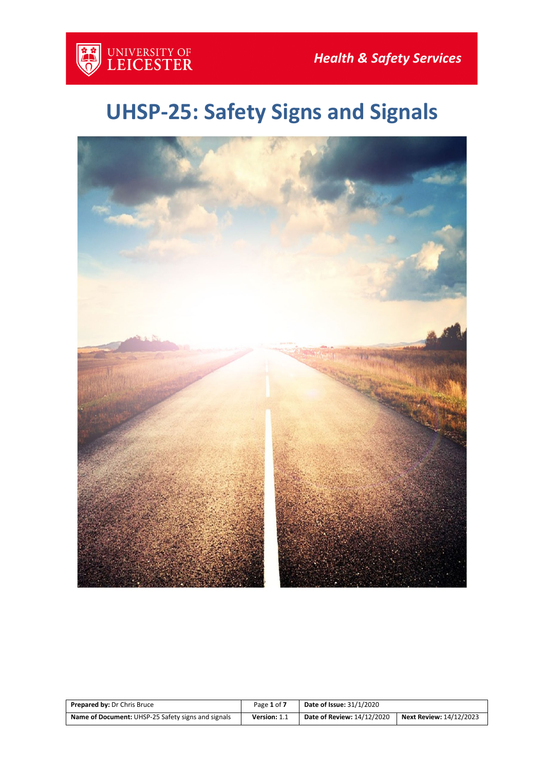

# **UHSP-25: Safety Signs and Signals**



| <b>Prepared by: Dr Chris Bruce</b>                        | Page 1 of 7  | <b>Date of Issue: 31/1/2020</b>   |                         |
|-----------------------------------------------------------|--------------|-----------------------------------|-------------------------|
| <b>Name of Document:</b> UHSP-25 Safety signs and signals | Version: 1.1 | <b>Date of Review: 14/12/2020</b> | Next Review: 14/12/2023 |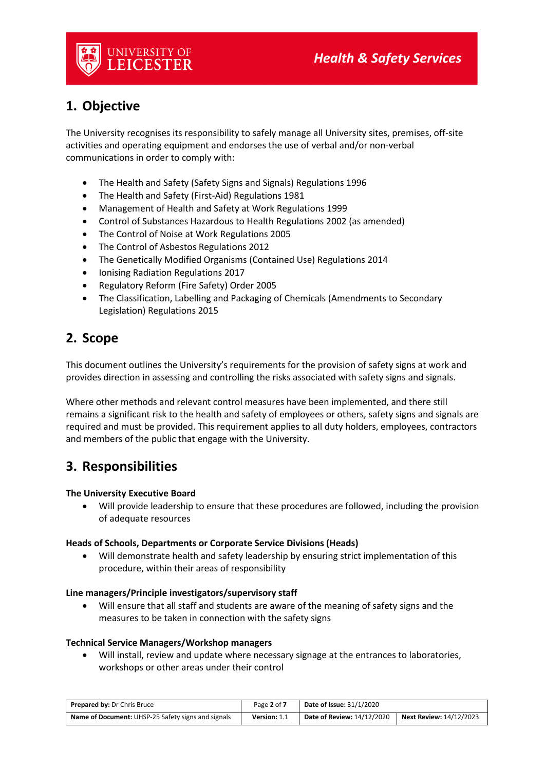

### **1. Objective**

The University recognises its responsibility to safely manage all University sites, premises, off-site activities and operating equipment and endorses the use of verbal and/or non-verbal communications in order to comply with:

- The Health and Safety (Safety Signs and Signals) Regulations 1996
- The Health and Safety (First-Aid) Regulations 1981
- Management of Health and Safety at Work Regulations 1999
- Control of Substances Hazardous to Health Regulations 2002 (as amended)
- The Control of Noise at Work Regulations 2005
- The Control of Asbestos Regulations 2012
- The Genetically Modified Organisms (Contained Use) Regulations 2014
- Ionising Radiation Regulations 2017
- Regulatory Reform (Fire Safety) Order 2005
- The Classification, Labelling and Packaging of Chemicals (Amendments to Secondary Legislation) Regulations 2015

### **2. Scope**

This document outlines the University's requirements for the provision of safety signs at work and provides direction in assessing and controlling the risks associated with safety signs and signals.

Where other methods and relevant control measures have been implemented, and there still remains a significant risk to the health and safety of employees or others, safety signs and signals are required and must be provided. This requirement applies to all duty holders, employees, contractors and members of the public that engage with the University.

### **3. Responsibilities**

#### **The University Executive Board**

• Will provide leadership to ensure that these procedures are followed, including the provision of adequate resources

#### **Heads of Schools, Departments or Corporate Service Divisions (Heads)**

• Will demonstrate health and safety leadership by ensuring strict implementation of this procedure, within their areas of responsibility

#### **Line managers/Principle investigators/supervisory staff**

• Will ensure that all staff and students are aware of the meaning of safety signs and the measures to be taken in connection with the safety signs

#### **Technical Service Managers/Workshop managers**

• Will install, review and update where necessary signage at the entrances to laboratories, workshops or other areas under their control

| <b>Prepared by: Dr Chris Bruce</b>                        | Page 2 of 7  | <b>Date of Issue: 31/1/2020</b> |                                |
|-----------------------------------------------------------|--------------|---------------------------------|--------------------------------|
| <b>Name of Document:</b> UHSP-25 Safety signs and signals | Version: 1.1 | Date of Review: 14/12/2020      | <b>Next Review: 14/12/2023</b> |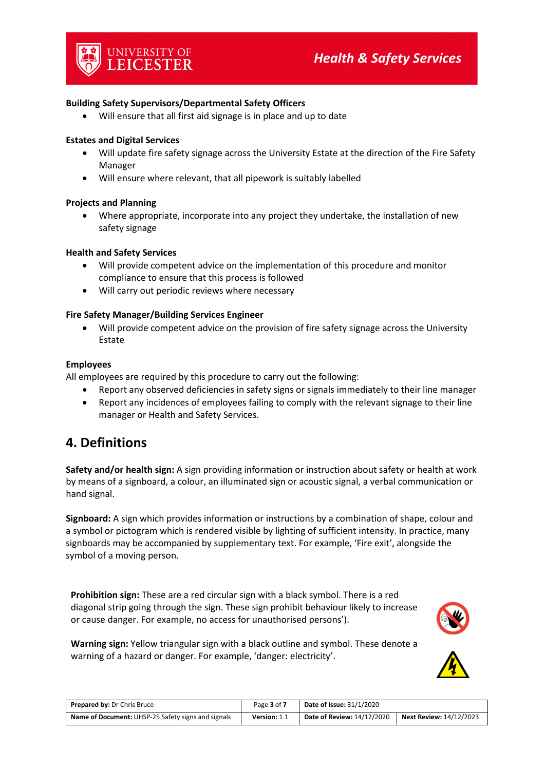#### **Building Safety Supervisors/Departmental Safety Officers**

• Will ensure that all first aid signage is in place and up to date

#### **Estates and Digital Services**

- Will update fire safety signage across the University Estate at the direction of the Fire Safety Manager
- Will ensure where relevant, that all pipework is suitably labelled

#### **Projects and Planning**

• Where appropriate, incorporate into any project they undertake, the installation of new safety signage

#### **Health and Safety Services**

- Will provide competent advice on the implementation of this procedure and monitor compliance to ensure that this process is followed
- Will carry out periodic reviews where necessary

#### **Fire Safety Manager/Building Services Engineer**

• Will provide competent advice on the provision of fire safety signage across the University Estate

#### **Employees**

All employees are required by this procedure to carry out the following:

- Report any observed deficiencies in safety signs or signals immediately to their line manager
- Report any incidences of employees failing to comply with the relevant signage to their line manager or Health and Safety Services.

### **4. Definitions**

**Safety and/or health sign:** A sign providing information or instruction about safety or health at work by means of a signboard, a colour, an illuminated sign or acoustic signal, a verbal communication or hand signal.

**Signboard:** A sign which provides information or instructions by a combination of shape, colour and a symbol or pictogram which is rendered visible by lighting of sufficient intensity. In practice, many signboards may be accompanied by supplementary text. For example, 'Fire exit', alongside the symbol of a moving person.

**Prohibition sign:** These are a red circular sign with a black symbol. There is a red diagonal strip going through the sign. These sign prohibit behaviour likely to increase or cause danger. For example, no access for unauthorised persons').



**Warning sign:** Yellow triangular sign with a black outline and symbol. These denote a warning of a hazard or danger. For example, 'danger: electricity'.

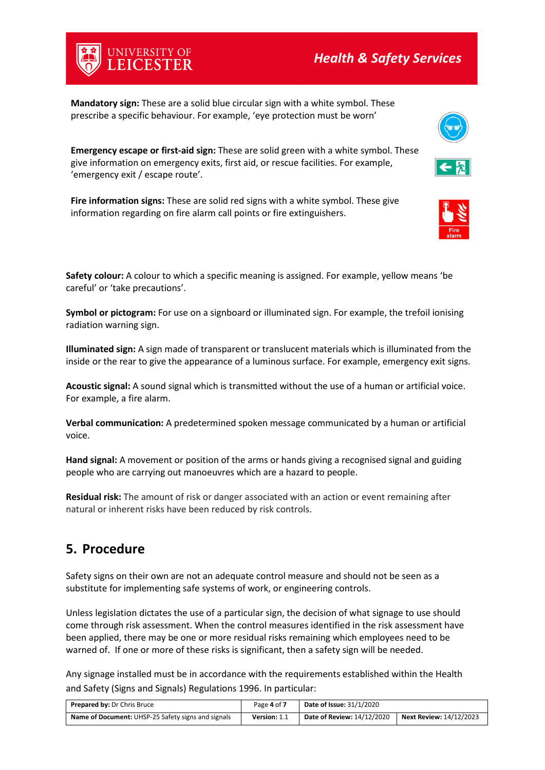**Mandatory sign:** These are a solid blue circular sign with a white symbol. These prescribe a specific behaviour. For example, 'eye protection must be worn'

**Emergency escape or first-aid sign:** These are solid green with a white symbol. These give information on emergency exits, first aid, or rescue facilities. For example, 'emergency exit / escape route'.

**Fire information signs:** These are solid red signs with a white symbol. These give information regarding on fire alarm call points or fire extinguishers.

**Safety colour:** A colour to which a specific meaning is assigned. For example, yellow means 'be careful' or 'take precautions'.

**Symbol or pictogram:** For use on a signboard or illuminated sign. For example, the trefoil ionising radiation warning sign.

**Illuminated sign:** A sign made of transparent or translucent materials which is illuminated from the inside or the rear to give the appearance of a luminous surface. For example, emergency exit signs.

**Acoustic signal:** A sound signal which is transmitted without the use of a human or artificial voice. For example, a fire alarm.

**Verbal communication:** A predetermined spoken message communicated by a human or artificial voice.

**Hand signal:** A movement or position of the arms or hands giving a recognised signal and guiding people who are carrying out manoeuvres which are a hazard to people.

**Residual risk:** The amount of risk or danger associated with an action or event remaining after natural or inherent risks have been reduced by risk controls.

### **5. Procedure**

Safety signs on their own are not an adequate control measure and should not be seen as a substitute for implementing safe systems of work, or engineering controls.

Unless legislation dictates the use of a particular sign, the decision of what signage to use should come through risk assessment. When the control measures identified in the risk assessment have been applied, there may be one or more residual risks remaining which employees need to be warned of. If one or more of these risks is significant, then a safety sign will be needed.

Any signage installed must be in accordance with the requirements established within the Health and Safety (Signs and Signals) Regulations 1996. In particular:

| <b>Prepared by: Dr Chris Bruce</b>                        | Page 4 of 7  | <b>Date of Issue: 31/1/2020</b>   |                                |
|-----------------------------------------------------------|--------------|-----------------------------------|--------------------------------|
| <b>Name of Document:</b> UHSP-25 Safety signs and signals | Version: 1.1 | <b>Date of Review: 14/12/2020</b> | <b>Next Review: 14/12/2023</b> |





UNIVERSITY OF<br>**LEICESTER**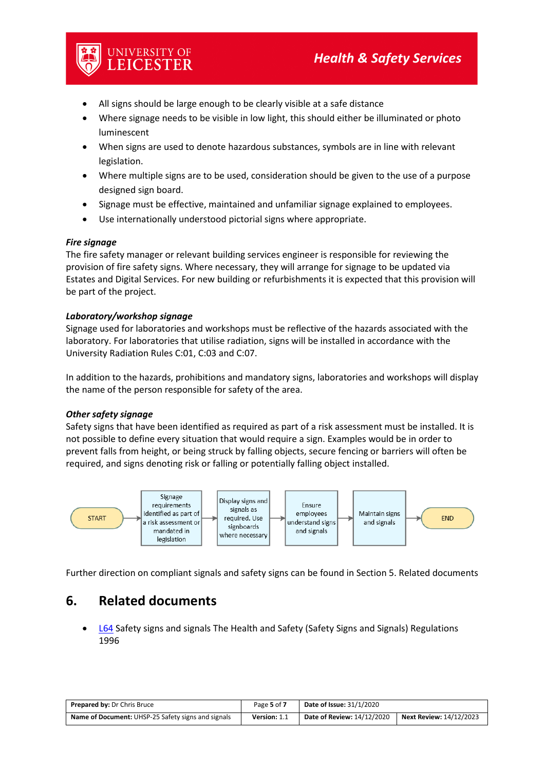- All signs should be large enough to be clearly visible at a safe distance
- Where signage needs to be visible in low light, this should either be illuminated or photo luminescent
- When signs are used to denote hazardous substances, symbols are in line with relevant legislation.
- Where multiple signs are to be used, consideration should be given to the use of a purpose designed sign board.
- Signage must be effective, maintained and unfamiliar signage explained to employees.
- Use internationally understood pictorial signs where appropriate.

#### *Fire signage*

The fire safety manager or relevant building services engineer is responsible for reviewing the provision of fire safety signs. Where necessary, they will arrange for signage to be updated via Estates and Digital Services. For new building or refurbishments it is expected that this provision will be part of the project.

#### *Laboratory/workshop signage*

UNIVERSITY OF<br>LEICESTER

Signage used for laboratories and workshops must be reflective of the hazards associated with the laboratory. For laboratories that utilise radiation, signs will be installed in accordance with the University Radiation Rules C:01, C:03 and C:07.

In addition to the hazards, prohibitions and mandatory signs, laboratories and workshops will display the name of the person responsible for safety of the area.

#### *Other safety signage*

Safety signs that have been identified as required as part of a risk assessment must be installed. It is not possible to define every situation that would require a sign. Examples would be in order to prevent falls from height, or being struck by falling objects, secure fencing or barriers will often be required, and signs denoting risk or falling or potentially falling object installed.



Further direction on compliant signals and safety signs can be found in Section 5. Related documents

### **6. Related documents**

• [L64](http://www.hse.gov.uk/pubns/priced/l64.pdf) Safety signs and signals The Health and Safety (Safety Signs and Signals) Regulations 1996

| <b>Prepared by: Dr Chris Bruce</b>                        | Page 5 of 7  | <b>Date of Issue: 31/1/2020</b>   |                                |
|-----------------------------------------------------------|--------------|-----------------------------------|--------------------------------|
| <b>Name of Document:</b> UHSP-25 Safety signs and signals | Version: 1.1 | <b>Date of Review: 14/12/2020</b> | <b>Next Review: 14/12/2023</b> |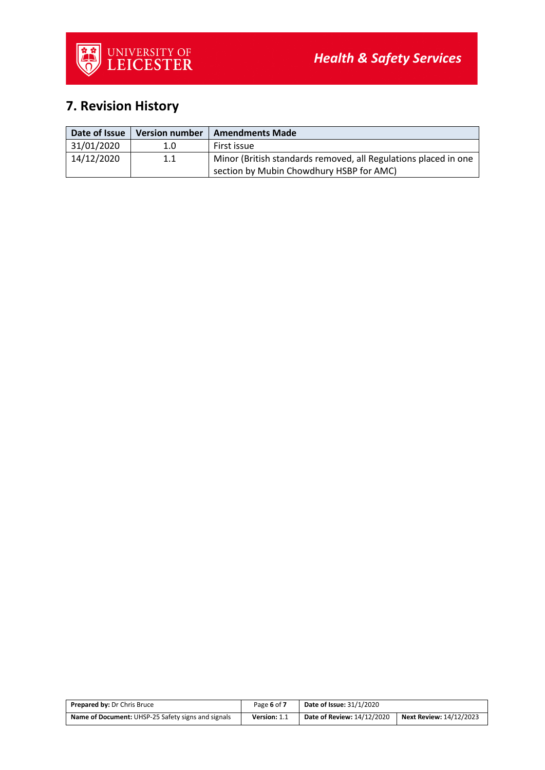# **7. Revision History**

| Date of Issue | <b>Version number</b> | <b>Amendments Made</b>                                                                                      |
|---------------|-----------------------|-------------------------------------------------------------------------------------------------------------|
| 31/01/2020    | 1.0                   | First issue                                                                                                 |
| 14/12/2020    | $1.1\,$               | Minor (British standards removed, all Regulations placed in one<br>section by Mubin Chowdhury HSBP for AMC) |

| <b>Prepared by: Dr Chris Bruce</b>                        | Page 6 of 7  | <b>Date of Issue: 31/1/2020</b>   |                                |
|-----------------------------------------------------------|--------------|-----------------------------------|--------------------------------|
| <b>Name of Document:</b> UHSP-25 Safety signs and signals | Version: 1.1 | <b>Date of Review: 14/12/2020</b> | <b>Next Review: 14/12/2023</b> |